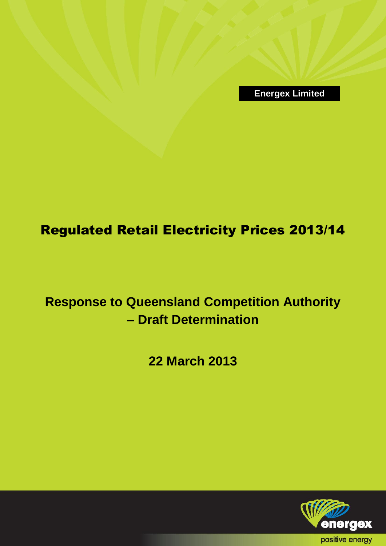**Energex Limited**

# Regulated Retail Electricity Prices 2013/14

**Response to Queensland Competition Authority – Draft Determination**

**22 March 2013**

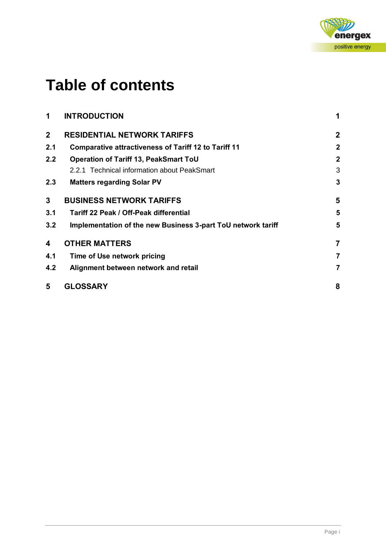

# **Table of contents**

| 1              | <b>INTRODUCTION</b>                                          | 1              |
|----------------|--------------------------------------------------------------|----------------|
| $\overline{2}$ | <b>RESIDENTIAL NETWORK TARIFFS</b>                           | $\mathbf 2$    |
| 2.1            | <b>Comparative attractiveness of Tariff 12 to Tariff 11</b>  | $\mathbf{2}$   |
| 2.2            | <b>Operation of Tariff 13, PeakSmart ToU</b>                 | $\mathbf 2$    |
|                | 2.2.1 Technical information about PeakSmart                  | 3              |
| 2.3            | <b>Matters regarding Solar PV</b>                            | 3              |
| 3              | <b>BUSINESS NETWORK TARIFFS</b>                              | 5              |
| 3.1            | <b>Tariff 22 Peak / Off-Peak differential</b>                | 5              |
| 3.2            | Implementation of the new Business 3-part ToU network tariff | 5              |
| 4              | <b>OTHER MATTERS</b>                                         | $\overline{7}$ |
| 4.1            | Time of Use network pricing                                  | 7              |
| 4.2            | Alignment between network and retail                         | $\overline{7}$ |
| 5              | <b>GLOSSARY</b>                                              | 8              |
|                |                                                              |                |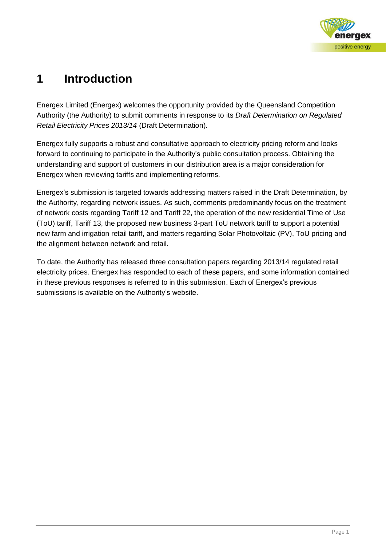

# **1 Introduction**

Energex Limited (Energex) welcomes the opportunity provided by the Queensland Competition Authority (the Authority) to submit comments in response to its *Draft Determination on Regulated Retail Electricity Prices 2013/14* (Draft Determination).

Energex fully supports a robust and consultative approach to electricity pricing reform and looks forward to continuing to participate in the Authority's public consultation process. Obtaining the understanding and support of customers in our distribution area is a major consideration for Energex when reviewing tariffs and implementing reforms.

Energex's submission is targeted towards addressing matters raised in the Draft Determination, by the Authority, regarding network issues. As such, comments predominantly focus on the treatment of network costs regarding Tariff 12 and Tariff 22, the operation of the new residential Time of Use (ToU) tariff, Tariff 13, the proposed new business 3-part ToU network tariff to support a potential new farm and irrigation retail tariff, and matters regarding Solar Photovoltaic (PV), ToU pricing and the alignment between network and retail.

To date, the Authority has released three consultation papers regarding 2013/14 regulated retail electricity prices. Energex has responded to each of these papers, and some information contained in these previous responses is referred to in this submission. Each of Energex's previous submissions is available on the Authority's website.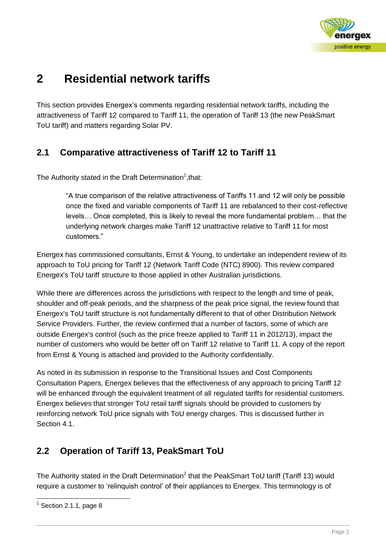

# **2 Residential network tariffs**

This section provides Energex's comments regarding residential network tariffs, including the attractiveness of Tariff 12 compared to Tariff 11, the operation of Tariff 13 (the new PeakSmart ToU tariff) and matters regarding Solar PV.

#### **2.1 Comparative attractiveness of Tariff 12 to Tariff 11**

The Authority stated in the Draft Determination<sup>1</sup>, that:

"A true comparison of the relative attractiveness of Tariffs 11 and 12 will only be possible once the fixed and variable components of Tariff 11 are rebalanced to their cost-reflective levels… Once completed, this is likely to reveal the more fundamental problem… that the underlying network charges make Tariff 12 unattractive relative to Tariff 11 for most customers."

Energex has commissioned consultants, Ernst & Young, to undertake an independent review of its approach to ToU pricing for Tariff 12 (Network Tariff Code (NTC) 8900). This review compared Energex's ToU tariff structure to those applied in other Australian jurisdictions.

While there are differences across the jurisdictions with respect to the length and time of peak, shoulder and off-peak periods, and the sharpness of the peak price signal, the review found that Energex's ToU tariff structure is not fundamentally different to that of other Distribution Network Service Providers. Further, the review confirmed that a number of factors, some of which are outside Energex's control (such as the price freeze applied to Tariff 11 in 2012/13), impact the number of customers who would be better off on Tariff 12 relative to Tariff 11. A copy of the report from Ernst & Young is attached and provided to the Authority confidentially.

As noted in its submission in response to the Transitional Issues and Cost Components Consultation Papers, Energex believes that the effectiveness of any approach to pricing Tariff 12 will be enhanced through the equivalent treatment of all regulated tariffs for residential customers. Energex believes that stronger ToU retail tariff signals should be provided to customers by reinforcing network ToU price signals with ToU energy charges. This is discussed further in Section 4.1.

### **2.2 Operation of Tariff 13, PeakSmart ToU**

The Authority stated in the Draft Determination<sup>2</sup> that the PeakSmart ToU tariff (Tariff 13) would require a customer to 'relinquish control' of their appliances to Energex. This terminology is of

<sup>-</sup> $<sup>1</sup>$  Section 2.1.1, page 8</sup>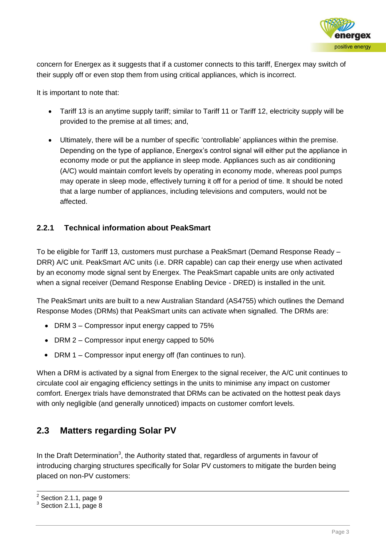

concern for Energex as it suggests that if a customer connects to this tariff, Energex may switch of their supply off or even stop them from using critical appliances, which is incorrect.

It is important to note that:

- Tariff 13 is an anytime supply tariff; similar to Tariff 11 or Tariff 12, electricity supply will be provided to the premise at all times; and,
- Ultimately, there will be a number of specific 'controllable' appliances within the premise. Depending on the type of appliance, Energex's control signal will either put the appliance in economy mode or put the appliance in sleep mode. Appliances such as air conditioning (A/C) would maintain comfort levels by operating in economy mode, whereas pool pumps may operate in sleep mode, effectively turning it off for a period of time. It should be noted that a large number of appliances, including televisions and computers, would not be affected.

#### **2.2.1 Technical information about PeakSmart**

To be eligible for Tariff 13, customers must purchase a PeakSmart (Demand Response Ready – DRR) A/C unit. PeakSmart A/C units (i.e. DRR capable) can cap their energy use when activated by an economy mode signal sent by Energex. The PeakSmart capable units are only activated when a signal receiver (Demand Response Enabling Device - DRED) is installed in the unit.

The PeakSmart units are built to a new Australian Standard (AS4755) which outlines the Demand Response Modes (DRMs) that PeakSmart units can activate when signalled. The DRMs are:

- DRM 3 Compressor input energy capped to 75%
- DRM 2 Compressor input energy capped to 50%
- DRM 1 Compressor input energy off (fan continues to run).

When a DRM is activated by a signal from Energex to the signal receiver, the A/C unit continues to circulate cool air engaging efficiency settings in the units to minimise any impact on customer comfort. Energex trials have demonstrated that DRMs can be activated on the hottest peak days with only negligible (and generally unnoticed) impacts on customer comfort levels.

#### **2.3 Matters regarding Solar PV**

In the Draft Determination<sup>3</sup>, the Authority stated that, regardless of arguments in favour of introducing charging structures specifically for Solar PV customers to mitigate the burden being placed on non-PV customers:

-

 $2$  Section 2.1.1, page 9

 $3$  Section 2.1.1, page 8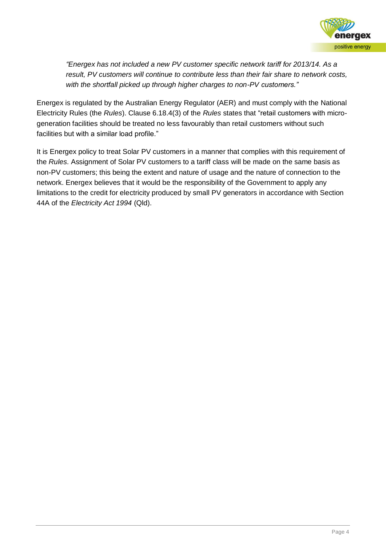

*"Energex has not included a new PV customer specific network tariff for 2013/14. As a result, PV customers will continue to contribute less than their fair share to network costs, with the shortfall picked up through higher charges to non-PV customers."*

Energex is regulated by the Australian Energy Regulator (AER) and must comply with the National Electricity Rules (the *Rules*). Clause 6.18.4(3) of the *Rules* states that "retail customers with microgeneration facilities should be treated no less favourably than retail customers without such facilities but with a similar load profile."

It is Energex policy to treat Solar PV customers in a manner that complies with this requirement of the *Rules*. Assignment of Solar PV customers to a tariff class will be made on the same basis as non-PV customers; this being the extent and nature of usage and the nature of connection to the network. Energex believes that it would be the responsibility of the Government to apply any limitations to the credit for electricity produced by small PV generators in accordance with Section 44A of the *Electricity Act 1994* (Qld).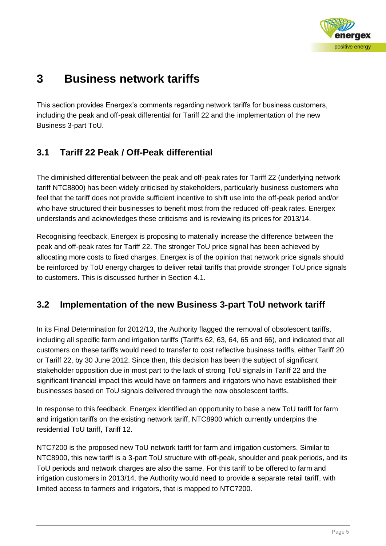

# **3 Business network tariffs**

This section provides Energex's comments regarding network tariffs for business customers, including the peak and off-peak differential for Tariff 22 and the implementation of the new Business 3-part ToU.

### **3.1 Tariff 22 Peak / Off-Peak differential**

The diminished differential between the peak and off-peak rates for Tariff 22 (underlying network tariff NTC8800) has been widely criticised by stakeholders, particularly business customers who feel that the tariff does not provide sufficient incentive to shift use into the off-peak period and/or who have structured their businesses to benefit most from the reduced off-peak rates. Energex understands and acknowledges these criticisms and is reviewing its prices for 2013/14.

Recognising feedback, Energex is proposing to materially increase the difference between the peak and off-peak rates for Tariff 22. The stronger ToU price signal has been achieved by allocating more costs to fixed charges. Energex is of the opinion that network price signals should be reinforced by ToU energy charges to deliver retail tariffs that provide stronger ToU price signals to customers. This is discussed further in Section 4.1.

### **3.2 Implementation of the new Business 3-part ToU network tariff**

In its Final Determination for 2012/13, the Authority flagged the removal of obsolescent tariffs, including all specific farm and irrigation tariffs (Tariffs 62, 63, 64, 65 and 66), and indicated that all customers on these tariffs would need to transfer to cost reflective business tariffs, either Tariff 20 or Tariff 22, by 30 June 2012. Since then, this decision has been the subject of significant stakeholder opposition due in most part to the lack of strong ToU signals in Tariff 22 and the significant financial impact this would have on farmers and irrigators who have established their businesses based on ToU signals delivered through the now obsolescent tariffs.

In response to this feedback, Energex identified an opportunity to base a new ToU tariff for farm and irrigation tariffs on the existing network tariff, NTC8900 which currently underpins the residential ToU tariff, Tariff 12.

NTC7200 is the proposed new ToU network tariff for farm and irrigation customers. Similar to NTC8900, this new tariff is a 3-part ToU structure with off-peak, shoulder and peak periods, and its ToU periods and network charges are also the same. For this tariff to be offered to farm and irrigation customers in 2013/14, the Authority would need to provide a separate retail tariff, with limited access to farmers and irrigators, that is mapped to NTC7200.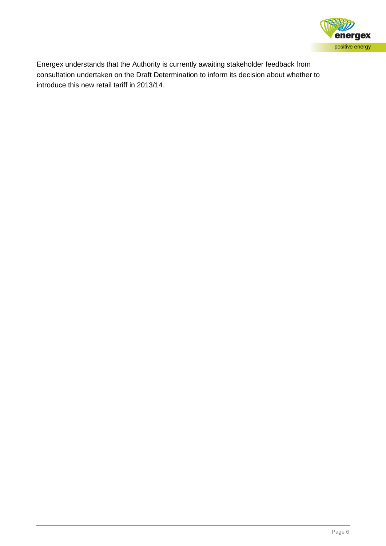

Energex understands that the Authority is currently awaiting stakeholder feedback from consultation undertaken on the Draft Determination to inform its decision about whether to introduce this new retail tariff in 2013/14.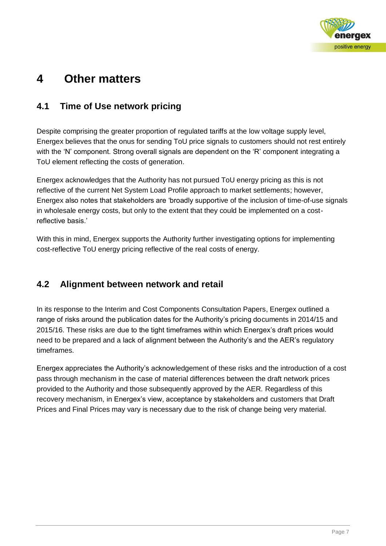

# **4 Other matters**

#### **4.1 Time of Use network pricing**

Despite comprising the greater proportion of regulated tariffs at the low voltage supply level, Energex believes that the onus for sending ToU price signals to customers should not rest entirely with the 'N' component. Strong overall signals are dependent on the 'R' component integrating a ToU element reflecting the costs of generation.

Energex acknowledges that the Authority has not pursued ToU energy pricing as this is not reflective of the current Net System Load Profile approach to market settlements; however, Energex also notes that stakeholders are 'broadly supportive of the inclusion of time-of-use signals in wholesale energy costs, but only to the extent that they could be implemented on a costreflective basis.'

With this in mind, Energex supports the Authority further investigating options for implementing cost-reflective ToU energy pricing reflective of the real costs of energy.

#### **4.2 Alignment between network and retail**

In its response to the Interim and Cost Components Consultation Papers, Energex outlined a range of risks around the publication dates for the Authority's pricing documents in 2014/15 and 2015/16. These risks are due to the tight timeframes within which Energex's draft prices would need to be prepared and a lack of alignment between the Authority's and the AER's regulatory timeframes.

Energex appreciates the Authority's acknowledgement of these risks and the introduction of a cost pass through mechanism in the case of material differences between the draft network prices provided to the Authority and those subsequently approved by the AER. Regardless of this recovery mechanism, in Energex's view, acceptance by stakeholders and customers that Draft Prices and Final Prices may vary is necessary due to the risk of change being very material.